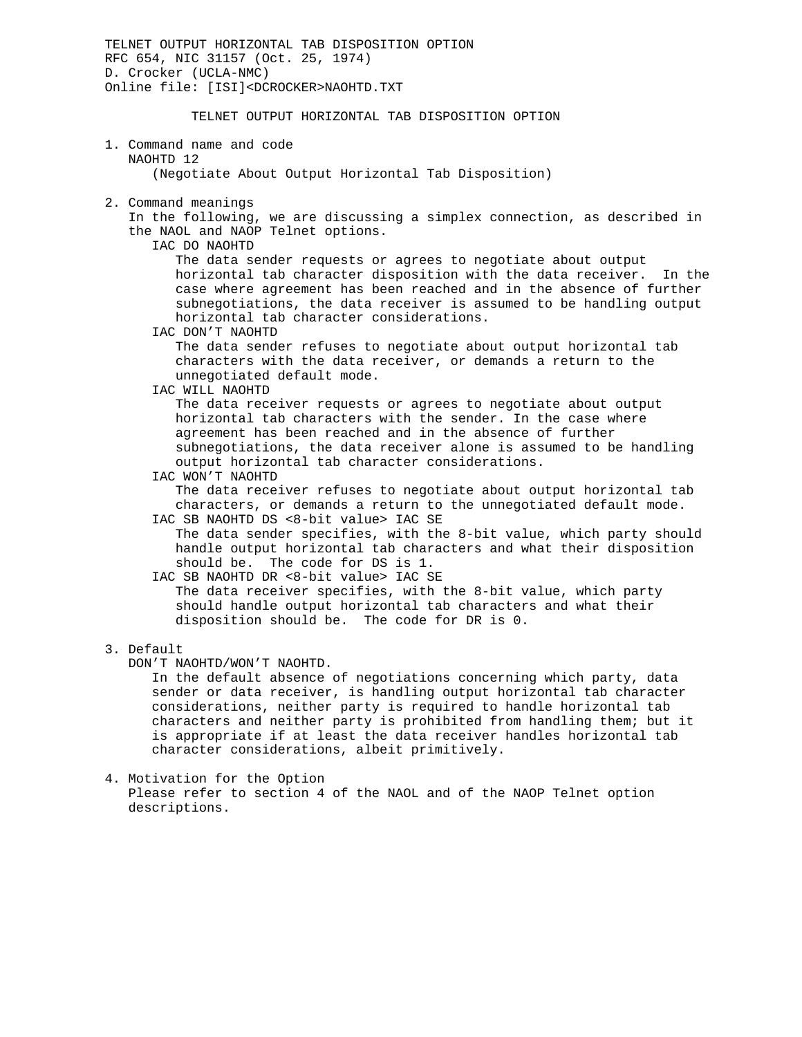TELNET OUTPUT HORIZONTAL TAB DISPOSITION OPTION RFC 654, NIC 31157 (Oct. 25, 1974) D. Crocker (UCLA-NMC) Online file: [ISI]<DCROCKER>NAOHTD.TXT TELNET OUTPUT HORIZONTAL TAB DISPOSITION OPTION 1. Command name and code NAOHTD 12 (Negotiate About Output Horizontal Tab Disposition) 2. Command meanings In the following, we are discussing a simplex connection, as described in the NAOL and NAOP Telnet options. IAC DO NAOHTD The data sender requests or agrees to negotiate about output horizontal tab character disposition with the data receiver. In the case where agreement has been reached and in the absence of further subnegotiations, the data receiver is assumed to be handling output horizontal tab character considerations. IAC DON'T NAOHTD The data sender refuses to negotiate about output horizontal tab characters with the data receiver, or demands a return to the unnegotiated default mode. IAC WILL NAOHTD The data receiver requests or agrees to negotiate about output horizontal tab characters with the sender. In the case where agreement has been reached and in the absence of further subnegotiations, the data receiver alone is assumed to be handling output horizontal tab character considerations. IAC WON'T NAOHTD The data receiver refuses to negotiate about output horizontal tab characters, or demands a return to the unnegotiated default mode. IAC SB NAOHTD DS <8-bit value> IAC SE The data sender specifies, with the 8-bit value, which party should handle output horizontal tab characters and what their disposition should be. The code for DS is 1. IAC SB NAOHTD DR <8-bit value> IAC SE The data receiver specifies, with the 8-bit value, which party should handle output horizontal tab characters and what their disposition should be. The code for DR is 0. 3. Default DON'T NAOHTD/WON'T NAOHTD. In the default absence of negotiations concerning which party, data sender or data receiver, is handling output horizontal tab character considerations, neither party is required to handle horizontal tab

 characters and neither party is prohibited from handling them; but it is appropriate if at least the data receiver handles horizontal tab character considerations, albeit primitively.

4. Motivation for the Option Please refer to section 4 of the NAOL and of the NAOP Telnet option descriptions.